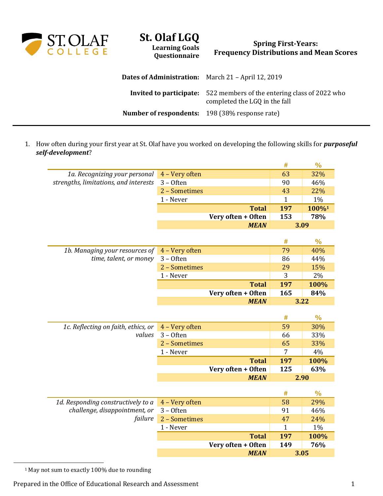

## **St. Olaf LGQ Learning Goals**

**Questionnaire**

## **Spring First-Years: Frequency Distributions and Mean Scores**

| <b>Dates of Administration:</b> March 21 - April 12, 2019 |                                                                                                               |
|-----------------------------------------------------------|---------------------------------------------------------------------------------------------------------------|
|                                                           | <b>Invited to participate:</b> 522 members of the entering class of 2022 who<br>completed the LGQ in the fall |
| <b>Number of respondents:</b> 198 (38% response rate)     |                                                                                                               |

1. How often during your first year at St. Olaf have you worked on developing the following skills for *purposeful self-development*?

|                                       |                |                    | #            | $\frac{0}{0}$ |
|---------------------------------------|----------------|--------------------|--------------|---------------|
| 1a. Recognizing your personal         | 4 - Very often |                    | 63           | 32%           |
| strengths, limitations, and interests | $3 -$ Often    |                    | 90           | 46%           |
|                                       | 2 - Sometimes  |                    | 43           | 22%           |
|                                       | 1 - Never      |                    | $\mathbf{1}$ | 1%            |
|                                       |                | <b>Total</b>       | 197          | 100%1         |
|                                       |                | Very often + Often | 153          | 78%           |
|                                       |                | <b>MEAN</b>        |              | 3.09          |
|                                       |                |                    |              |               |
|                                       |                |                    | #            | $\frac{0}{0}$ |
| 1b. Managing your resources of        | 4 - Very often |                    | 79           | 40%           |
| time, talent, or money                | $3 -$ Often    |                    | 86           | 44%           |
|                                       | 2 - Sometimes  |                    | 29           | 15%           |
|                                       | 1 - Never      |                    | 3            | 2%            |
|                                       |                | <b>Total</b>       | 197          | 100%          |
|                                       |                | Very often + Often | 165          | 84%           |
|                                       |                | <b>MEAN</b>        |              | 3.22          |
|                                       |                |                    |              |               |
|                                       |                |                    | #            | $\frac{0}{0}$ |
| 1c. Reflecting on faith, ethics, or   | 4 - Very often |                    | 59           | 30%           |
| values                                | $3 -$ Often    |                    | 66           | 33%           |
|                                       | 2 - Sometimes  |                    | 65           | 33%           |
|                                       | 1 - Never      |                    | 7            | 4%            |
|                                       |                | <b>Total</b>       | 197          | 100%          |
|                                       |                | Very often + Often | 125          | 63%           |
|                                       |                | <b>MEAN</b>        |              | 2.90          |
|                                       |                |                    |              |               |
|                                       |                |                    | #            | $\frac{0}{0}$ |
| 1d. Responding constructively to a    | 4 - Very often |                    | 58           | 29%           |
| challenge, disappointment, or         | $3 -$ Often    |                    | 91           | 46%           |
| failure                               | 2 - Sometimes  |                    | 47           | 24%           |
|                                       | 1 - Never      |                    | 1            | 1%            |
|                                       |                | <b>Total</b>       | 197          | 100%          |
|                                       |                | Very often + Often | 149          | 76%           |
|                                       |                | <b>MEAN</b>        |              | 3.05          |

<sup>1</sup> May not sum to exactly 100% due to rounding

 $\overline{a}$ 

Prepared in the Office of Educational Research and Assessment 1 1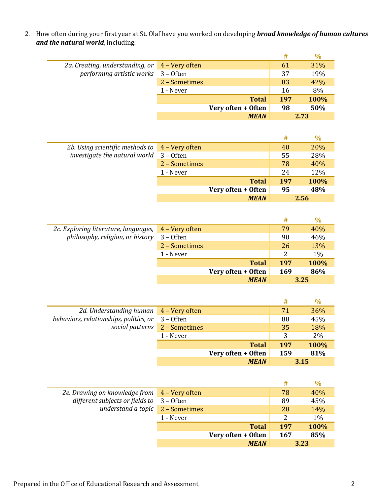2. How often during your first year at St. Olaf have you worked on developing *broad knowledge of human cultures and the natural world*, including:

|                                                                   |               |                    | #   | $\%$ |
|-------------------------------------------------------------------|---------------|--------------------|-----|------|
| 2a. Creating, understanding, or $\frac{4 - \text{Very often}}{2}$ |               |                    | 61  | 31%  |
| performing artistic works 3 - Often                               |               |                    | 37  | 19%  |
|                                                                   | 2 - Sometimes |                    | 83  | 42%  |
|                                                                   | 1 - Never     |                    | 16  | 8%   |
|                                                                   |               | <b>Total</b>       | 197 | 100% |
|                                                                   |               | Very often + Often | 98  | 50%  |
|                                                                   |               | <b>MEAN</b>        |     | 2.73 |

|                                                                   |               |                    | #   | $\%$ |
|-------------------------------------------------------------------|---------------|--------------------|-----|------|
| 2b. Using scientific methods to $\frac{4 - \text{Very often}}{2}$ |               |                    | 40  | 20%  |
| investigate the natural world 3 - Often                           |               |                    | 55  | 28%  |
|                                                                   | 2 – Sometimes |                    | 78  | 40%  |
|                                                                   | 1 - Never     |                    | 24  | 12%  |
|                                                                   |               | <b>Total</b>       | 197 | 100% |
|                                                                   |               | Very often + Often | 95  | 48%  |
|                                                                   |               | <b>MEAN</b>        |     | 2.56 |

|                                      |                |                    | #    | $\%$  |
|--------------------------------------|----------------|--------------------|------|-------|
| 2c. Exploring literature, languages, | 4 – Very often |                    | 79   | 40%   |
| philosophy, religion, or history     | $3 -$ Often    |                    | 90   | 46%   |
|                                      | 2 - Sometimes  |                    | 26   | 13%   |
|                                      | 1 - Never      |                    | 2    | $1\%$ |
|                                      |                | <b>Total</b>       | 197  | 100%  |
|                                      |                | Very often + Often | 169  | 86%   |
|                                      |                | <b>MEAN</b>        | 3.25 |       |

|                                        |                               |                    | #    | $\%$ |
|----------------------------------------|-------------------------------|--------------------|------|------|
| 2d. Understanding human 4 - Very often |                               |                    | 71   | 36%  |
| behaviors, relationships, politics, or | $3 -$ Often                   |                    | 88   | 45%  |
|                                        | social patterns 2 - Sometimes |                    | 35   | 18%  |
|                                        | 1 - Never                     |                    | 3    | 2%   |
|                                        |                               | <b>Total</b>       | 197  | 100% |
|                                        |                               | Very often + Often | 159  | 81%  |
|                                        |                               | <b>MEAN</b>        | 3.15 |      |

|                                              |           |                    | #   | $\frac{0}{0}$ |
|----------------------------------------------|-----------|--------------------|-----|---------------|
| 2e. Drawing on knowledge from 4 - Very often |           |                    | 78  | 40%           |
| different subjects or fields to 3 - Often    |           |                    | 89  | 45%           |
| understand a topic 2 - Sometimes             |           |                    | 28  | 14%           |
|                                              | 1 - Never |                    | 2   | $1\%$         |
|                                              |           | <b>Total</b>       | 197 | 100%          |
|                                              |           | Very often + Often | 167 | 85%           |
|                                              |           | <b>MEAN</b>        |     | 3.23          |

i.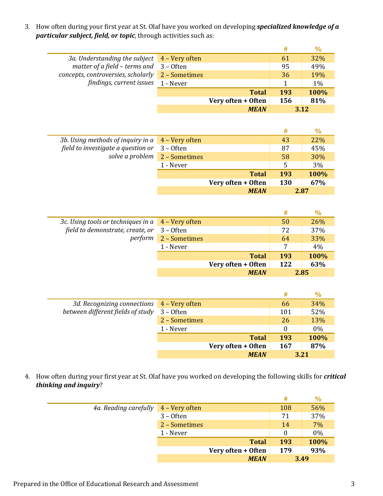3. How often during your first year at St. Olaf have you worked on developing *specialized knowledge of a particular subject, field, or topic*, through activities such as:

|                                                    |                    | #   | $\%$ |
|----------------------------------------------------|--------------------|-----|------|
| 3a. Understanding the subject 4 - Very often       |                    | 61  | 32%  |
| matter of a field - terms and $3 -$ Often          |                    | 95  | 49%  |
| concepts, controversies, scholarly $2 -$ Sometimes |                    | 36  | 19%  |
| findings, current issues 1 - Never                 |                    |     | 1%   |
|                                                    | <b>Total</b>       | 193 | 100% |
|                                                    | Very often + Often | 156 | 81%  |
|                                                    | <b>MEAN</b>        |     | 3.12 |

|                                                         |             |                    | #          | $\%$ |
|---------------------------------------------------------|-------------|--------------------|------------|------|
| 3b. Using methods of inquiry in $a \mid 4$ – Very often |             |                    | 43         | 22%  |
| field to investigate a question or                      | $3 -$ Often |                    | 87         | 45%  |
| solve a problem $2 -$ Sometimes                         |             |                    | 58         | 30%  |
|                                                         | 1 - Never   |                    | 5          | 3%   |
|                                                         |             | <b>Total</b>       | 193        | 100% |
|                                                         |             | Very often + Often | <b>130</b> | 67%  |
|                                                         |             | <b>MEAN</b>        | 2.87       |      |

|                                                                                              |               |                    | #    | $\%$ |
|----------------------------------------------------------------------------------------------|---------------|--------------------|------|------|
| 3c. Using tools or techniques in $a \mid 4$ – Very often<br>field to demonstrate, create, or |               |                    | 50   | 26%  |
|                                                                                              | $3 -$ Often   |                    | 72   | 37%  |
| perform                                                                                      | 2 - Sometimes |                    | 64   | 33%  |
|                                                                                              | 1 - Never     |                    | 7    | 4%   |
|                                                                                              |               | <b>Total</b>       | 193  | 100% |
|                                                                                              |               | Very often + Often | 122  | 63%  |
|                                                                                              |               | <b>MEAN</b>        | 2.85 |      |

|                                            |               |                    | #          | $\frac{0}{0}$ |
|--------------------------------------------|---------------|--------------------|------------|---------------|
| 3d. Recognizing connections 4 - Very often |               |                    | 66         | 34%           |
| between different fields of study          | $3 -$ Often   |                    | 101        | 52%           |
|                                            | 2 - Sometimes |                    | 26         | 13%           |
|                                            | 1 - Never     |                    |            | $0\%$         |
|                                            |               | <b>Total</b>       | <b>193</b> | 100%          |
|                                            |               | Very often + Often | <b>167</b> | 87%           |
|                                            |               | <b>MEAN</b>        | 3.21       |               |

4. How often during your first year at St. Olaf have you worked on developing the following skills for *critical thinking and inquiry*?

|                       |                |                    | #        | $\frac{0}{0}$ |
|-----------------------|----------------|--------------------|----------|---------------|
| 4a. Reading carefully | 4 – Very often |                    | 108      | 56%           |
|                       | $3 -$ Often    |                    | 71       | 37%           |
|                       | 2 - Sometimes  |                    | 14       | 7%            |
|                       | 1 - Never      |                    | $\theta$ | $0\%$         |
|                       |                | <b>Total</b>       | 193      | 100%          |
|                       |                | Very often + Often | 179      | 93%           |
|                       |                | <b>MEAN</b>        |          | 3.49          |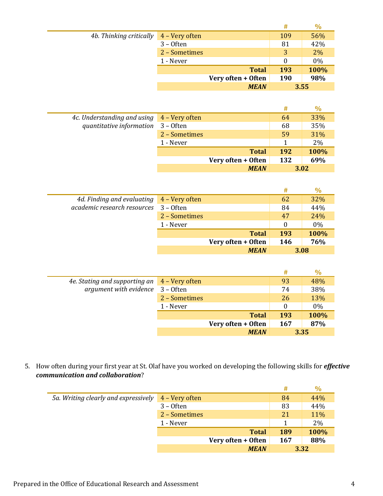|                                                                                  |               |                    | #   | $\%$  |
|----------------------------------------------------------------------------------|---------------|--------------------|-----|-------|
| 4b. Thinking critically $\begin{array}{ c c } \hline \end{array}$ 4 – Very often |               |                    | 109 | 56%   |
|                                                                                  | $3 -$ Often   |                    | 81  | 42%   |
|                                                                                  | 2 - Sometimes |                    | 3   | $2\%$ |
|                                                                                  | 1 - Never     |                    | 0   | $0\%$ |
|                                                                                  |               | <b>Total</b>       | 193 | 100%  |
|                                                                                  |               | Very often + Often | 190 | 98%   |
|                                                                                  |               | <b>MEAN</b>        |     | 3.55  |

|                             |                |                    | #   | $\%$ |
|-----------------------------|----------------|--------------------|-----|------|
| 4c. Understanding and using | 4 – Very often |                    | 64  | 33%  |
| quantitative information    | $3 -$ Often    |                    | 68  | 35%  |
|                             | 2 - Sometimes  |                    | 59  | 31%  |
|                             | 1 - Never      |                    |     | 2%   |
|                             |                | <b>Total</b>       | 192 | 100% |
|                             |                | Very often + Often | 132 | 69%  |
|                             |                | <b>MEAN</b>        |     | 3.02 |

|                                                        |               |                    | #        | $\%$  |
|--------------------------------------------------------|---------------|--------------------|----------|-------|
| 4d. Finding and evaluating $\overline{4}$ – Very often |               |                    | 62       | 32%   |
| academic research resources                            | $3 -$ Often   |                    | 84       | 44%   |
|                                                        | 2 - Sometimes |                    | 47       | 24%   |
|                                                        | 1 - Never     |                    | $\Omega$ | $0\%$ |
|                                                        |               | <b>Total</b>       | 193      | 100%  |
|                                                        |               | Very often + Often | 146      | 76%   |
|                                                        |               | <b>MEAN</b>        |          | 3.08  |

|                                              |               |                    | #   | $\%$  |
|----------------------------------------------|---------------|--------------------|-----|-------|
| 4e. Stating and supporting an 4 - Very often |               |                    | 93  | 48%   |
| argument with evidence 3 - Often             |               |                    | 74  | 38%   |
|                                              | 2 - Sometimes |                    | 26  | 13%   |
|                                              | 1 - Never     |                    | 0   | $0\%$ |
|                                              |               | <b>Total</b>       | 193 | 100%  |
|                                              |               | Very often + Often | 167 | 87%   |
|                                              |               | <b>MEAN</b>        |     | 3.35  |

5. How often during your first year at St. Olaf have you worked on developing the following skills for *effective communication and collaboration*?

|                                      |                |                    | #          | $\frac{0}{0}$ |
|--------------------------------------|----------------|--------------------|------------|---------------|
| 5a. Writing clearly and expressively | 4 – Very often |                    | 84         | 44%           |
|                                      | $3 -$ Often    |                    | 83         | 44%           |
|                                      | 2 - Sometimes  |                    | 21         | 11%           |
|                                      | 1 - Never      |                    |            | 2%            |
|                                      |                | <b>Total</b>       | 189        | 100%          |
|                                      |                | Very often + Often | <b>167</b> | 88%           |
|                                      |                | <b>MEAN</b>        |            | 3.32          |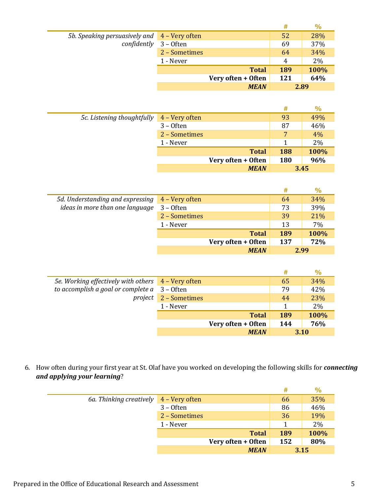|                                                                       |               |                    | #   | $\frac{0}{0}$ |
|-----------------------------------------------------------------------|---------------|--------------------|-----|---------------|
| 5b. Speaking persuasively and 4 - Very often<br>confidently 3 - Often |               |                    | 52  | 28%           |
|                                                                       |               |                    | 69  | 37%           |
|                                                                       | 2 - Sometimes |                    | 64  | 34%           |
|                                                                       | 1 - Never     |                    | 4   | 2%            |
|                                                                       |               | <b>Total</b>       | 189 | 100%          |
|                                                                       |               | Very often + Often | 121 | 64%           |
|                                                                       |               | <b>MEAN</b>        |     | 2.89          |

|                            |                |                    | #          | $\%$ |
|----------------------------|----------------|--------------------|------------|------|
| 5c. Listening thoughtfully | 4 - Very often |                    | 93         | 49%  |
|                            | $3 -$ Often    |                    | 87         | 46%  |
|                            | 2 - Sometimes  |                    |            | 4%   |
|                            | 1 - Never      |                    |            | 2%   |
|                            |                | <b>Total</b>       | <b>188</b> | 100% |
|                            |                | Very often + Often | 180        | 96%  |
|                            |                | <b>MEAN</b>        |            | 3.45 |

|                                  |                |                    | #   |      |
|----------------------------------|----------------|--------------------|-----|------|
| 5d. Understanding and expressing | 4 - Very often |                    | 64  | 34%  |
| ideas in more than one language  | $3 -$ Often    |                    | 73  | 39%  |
|                                  | 2 - Sometimes  |                    | 39  | 21%  |
|                                  | 1 - Never      |                    | 13  | 7%   |
|                                  |                | <b>Total</b>       | 189 | 100% |
|                                  |                | Very often + Often | 137 | 72%  |
|                                  |                | <b>MEAN</b>        |     | 2.99 |

|                                                      |                       |                    | #   | $\%$ |
|------------------------------------------------------|-----------------------|--------------------|-----|------|
| 5e. Working effectively with others 4 - Very often   |                       |                    | 65  | 34%  |
| to accomplish a goal or complete $a \quad 3$ – Often |                       |                    | 79  | 42%  |
|                                                      | project 2 - Sometimes |                    | 44  | 23%  |
|                                                      | 1 - Never             |                    |     | 2%   |
|                                                      |                       | <b>Total</b>       | 189 | 100% |
|                                                      |                       | Very often + Often | 144 | 76%  |
|                                                      |                       | <b>MEAN</b>        |     | 3.10 |

6. How often during your first year at St. Olaf have you worked on developing the following skills for *connecting and applying your learning*?

|                                                            |               |                    | #          | $\%$ |
|------------------------------------------------------------|---------------|--------------------|------------|------|
| 6a. Thinking creatively $\overline{4 - \text{Very}}$ often |               |                    | 66         | 35%  |
|                                                            | $3 -$ Often   |                    | 86         | 46%  |
|                                                            | 2 - Sometimes |                    | 36         | 19%  |
|                                                            | 1 - Never     |                    |            | 2%   |
|                                                            |               | <b>Total</b>       | <b>189</b> | 100% |
|                                                            |               | Very often + Often | 152        | 80%  |
|                                                            |               | <b>MEAN</b>        |            | 3.15 |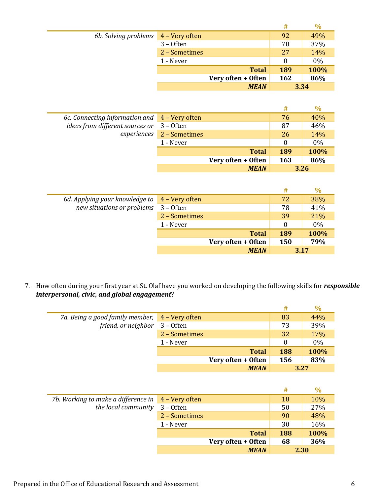|                      |                  |                    | #   | $\%$  |
|----------------------|------------------|--------------------|-----|-------|
| 6b. Solving problems | $4 - Very$ often |                    | 92  | 49%   |
|                      | $3 -$ Often      |                    | 70  | 37%   |
|                      | 2 - Sometimes    |                    | 27  | 14%   |
|                      | 1 - Never        |                    | 0   | $0\%$ |
|                      |                  | <b>Total</b>       | 189 | 100%  |
|                      |                  | Very often + Often | 162 | 86%   |
|                      |                  | <b>MEAN</b>        |     | 3.34  |

|                                                                                               |                           |                    | #        | $\%$ |
|-----------------------------------------------------------------------------------------------|---------------------------|--------------------|----------|------|
| 6c. Connecting information and $\overline{4}$ – Very often<br>ideas from different sources or |                           |                    | 76       | 40%  |
|                                                                                               | $3 -$ Often               |                    | 87       | 46%  |
|                                                                                               | experiences 2 - Sometimes |                    | 26       | 14%  |
|                                                                                               | 1 - Never                 |                    | $\theta$ | 0%   |
|                                                                                               |                           | <b>Total</b>       | 189      | 100% |
|                                                                                               |                           | Very often + Often | 163      | 86%  |
|                                                                                               |                           | <b>MEAN</b>        |          | 3.26 |

|                                                            |               |                    | #          |       |
|------------------------------------------------------------|---------------|--------------------|------------|-------|
| 6d. Applying your knowledge to $\overline{4}$ – Very often |               |                    | 72         | 38%   |
| new situations or problems                                 | $3 -$ Often   |                    | 78         | 41%   |
|                                                            | 2 - Sometimes |                    | 39         | 21%   |
|                                                            | 1 - Never     |                    | $\Omega$   | $0\%$ |
|                                                            |               | <b>Total</b>       | 189        | 100%  |
|                                                            |               | Very often + Often | <b>150</b> | 79%   |
|                                                            |               | <b>MEAN</b>        | 3.17       |       |

7. How often during your first year at St. Olaf have you worked on developing the following skills for *responsible interpersonal, civic, and global engagement*?

|                                                |               |                    | #          | $\%$  |
|------------------------------------------------|---------------|--------------------|------------|-------|
| 7a. Being a good family member, 4 - Very often |               |                    | 83         | 44%   |
| friend, or neighbor 3 - Often                  |               |                    | 73         | 39%   |
|                                                | 2 - Sometimes |                    | 32         | 17%   |
|                                                | 1 - Never     |                    | $\theta$   | $0\%$ |
|                                                |               | <b>Total</b>       | <b>188</b> | 100%  |
|                                                |               | Very often + Often | 156        | 83%   |
|                                                |               | <b>MEAN</b>        | 3.27       |       |

|                                                                        |               |                    | #    | $\%$ |
|------------------------------------------------------------------------|---------------|--------------------|------|------|
| 7b. Working to make a difference in $\overline{4 - \text{Very often}}$ |               |                    | 18   | 10%  |
| the local community                                                    | $3 -$ Often   |                    | 50   | 27%  |
|                                                                        | 2 - Sometimes |                    | 90   | 48%  |
|                                                                        | 1 - Never     |                    | 30   | 16%  |
|                                                                        |               | <b>Total</b>       | 188  | 100% |
|                                                                        |               | Very often + Often | 68   | 36%  |
|                                                                        |               | <b>MEAN</b>        | 2.30 |      |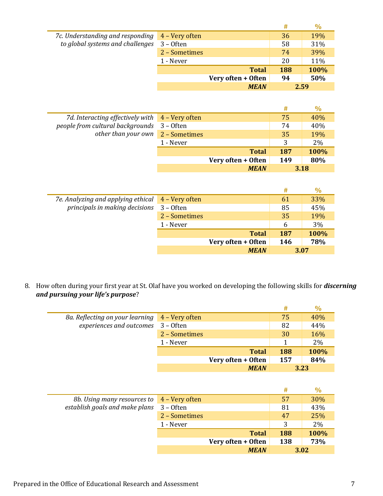|                                                                                     |               |                    | #   | $\%$ |
|-------------------------------------------------------------------------------------|---------------|--------------------|-----|------|
| 7c. Understanding and responding 4 - Very often<br>to global systems and challenges |               |                    | 36  | 19%  |
|                                                                                     | $3 -$ Often   |                    | 58  | 31%  |
|                                                                                     | 2 - Sometimes |                    | 74  | 39%  |
|                                                                                     | 1 - Never     |                    | 20  | 11%  |
|                                                                                     |               | <b>Total</b>       | 188 | 100% |
|                                                                                     |               | Very often + Often | 94  | 50%  |
|                                                                                     |               | <b>MEAN</b>        |     | 2.59 |

|                                                                                                                                                   |           |                    | #    | $\%$ |
|---------------------------------------------------------------------------------------------------------------------------------------------------|-----------|--------------------|------|------|
| 7d. Interacting effectively with $\overline{4}$ – Very often<br>people from cultural backgrounds 3 - Often<br>other than your own $2 -$ Sometimes |           |                    | 75   | 40%  |
|                                                                                                                                                   |           |                    | 74   | 40%  |
|                                                                                                                                                   |           |                    | 35   | 19%  |
|                                                                                                                                                   | 1 - Never |                    | 3    | 2%   |
|                                                                                                                                                   |           | <b>Total</b>       | 187  | 100% |
|                                                                                                                                                   |           | Very often + Often | 149  | 80%  |
|                                                                                                                                                   |           | <b>MEAN</b>        | 3.18 |      |

|                                                   |               |                    | #    | $\frac{0}{0}$ |
|---------------------------------------------------|---------------|--------------------|------|---------------|
| 7e. Analyzing and applying ethical 4 - Very often |               |                    | 61   | 33%           |
| principals in making decisions                    | $3 -$ Often   |                    | 85   | 45%           |
|                                                   | 2 - Sometimes |                    | 35   | 19%           |
|                                                   | 1 - Never     |                    | 6    | 3%            |
|                                                   |               | <b>Total</b>       | 187  | 100%          |
|                                                   |               | Very often + Often | 146  | 78%           |
|                                                   |               | <b>MEAN</b>        | 3.07 |               |

8. How often during your first year at St. Olaf have you worked on developing the following skills for *discerning and pursuing your life's purpose*?

|                                                                                      |               |                    | #   | $\%$ |
|--------------------------------------------------------------------------------------|---------------|--------------------|-----|------|
| 8a. Reflecting on your learning 4 – Very often<br>experiences and outcomes 3 - Often |               |                    | 75  | 40%  |
|                                                                                      |               |                    | 82  | 44%  |
|                                                                                      | 2 – Sometimes |                    | 30  | 16%  |
|                                                                                      | 1 - Never     |                    |     | 2%   |
|                                                                                      |               | <b>Total</b>       | 188 | 100% |
|                                                                                      |               | Very often + Often | 157 | 84%  |
|                                                                                      |               | <b>MEAN</b>        |     | 3.23 |

|                                                                              |               |                    | #   | $\frac{0}{0}$ |
|------------------------------------------------------------------------------|---------------|--------------------|-----|---------------|
| 8b. Using many resources to 4 - Very often<br>establish goals and make plans |               |                    | 57  | 30%           |
|                                                                              | $3 -$ Often   |                    | 81  | 43%           |
|                                                                              | 2 - Sometimes |                    | 47  | 25%           |
|                                                                              | 1 - Never     |                    | 3   | 2%            |
|                                                                              |               | <b>Total</b>       | 188 | 100%          |
|                                                                              |               | Very often + Often | 138 | 73%           |
|                                                                              |               | <b>MEAN</b>        |     | 3.02          |